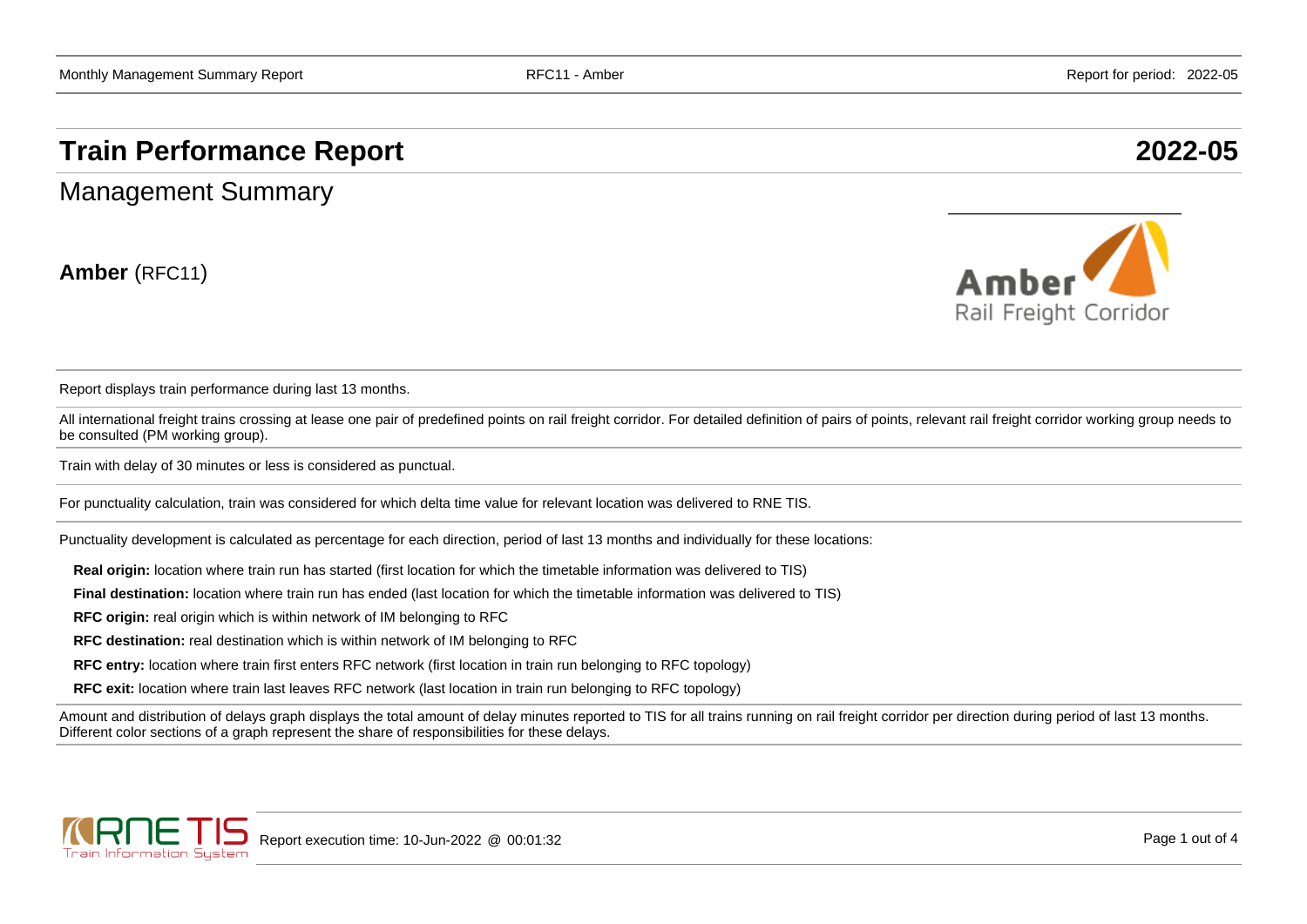# **Train Performance Report 2022-05**

Management Summary

**Amber** (RFC11)



Report displays train performance during last 13 months.

All international freight trains crossing at lease one pair of predefined points on rail freight corridor. For detailed definition of pairs of points, relevant rail freight corridor working group needs to be consulted (PM working group).

Train with delay of 30 minutes or less is considered as punctual.

For punctuality calculation, train was considered for which delta time value for relevant location was delivered to RNE TIS.

Punctuality development is calculated as percentage for each direction, period of last 13 months and individually for these locations:

**Real origin:** location where train run has started (first location for which the timetable information was delivered to TIS)

**Final destination:** location where train run has ended (last location for which the timetable information was delivered to TIS)

**RFC origin:** real origin which is within network of IM belonging to RFC

**RFC destination:** real destination which is within network of IM belonging to RFC

**RFC entry:** location where train first enters RFC network (first location in train run belonging to RFC topology)

**RFC exit:** location where train last leaves RFC network (last location in train run belonging to RFC topology)

Amount and distribution of delays graph displays the total amount of delay minutes reported to TIS for all trains running on rail freight corridor per direction during period of last 13 months. Different color sections of a graph represent the share of responsibilities for these delays.

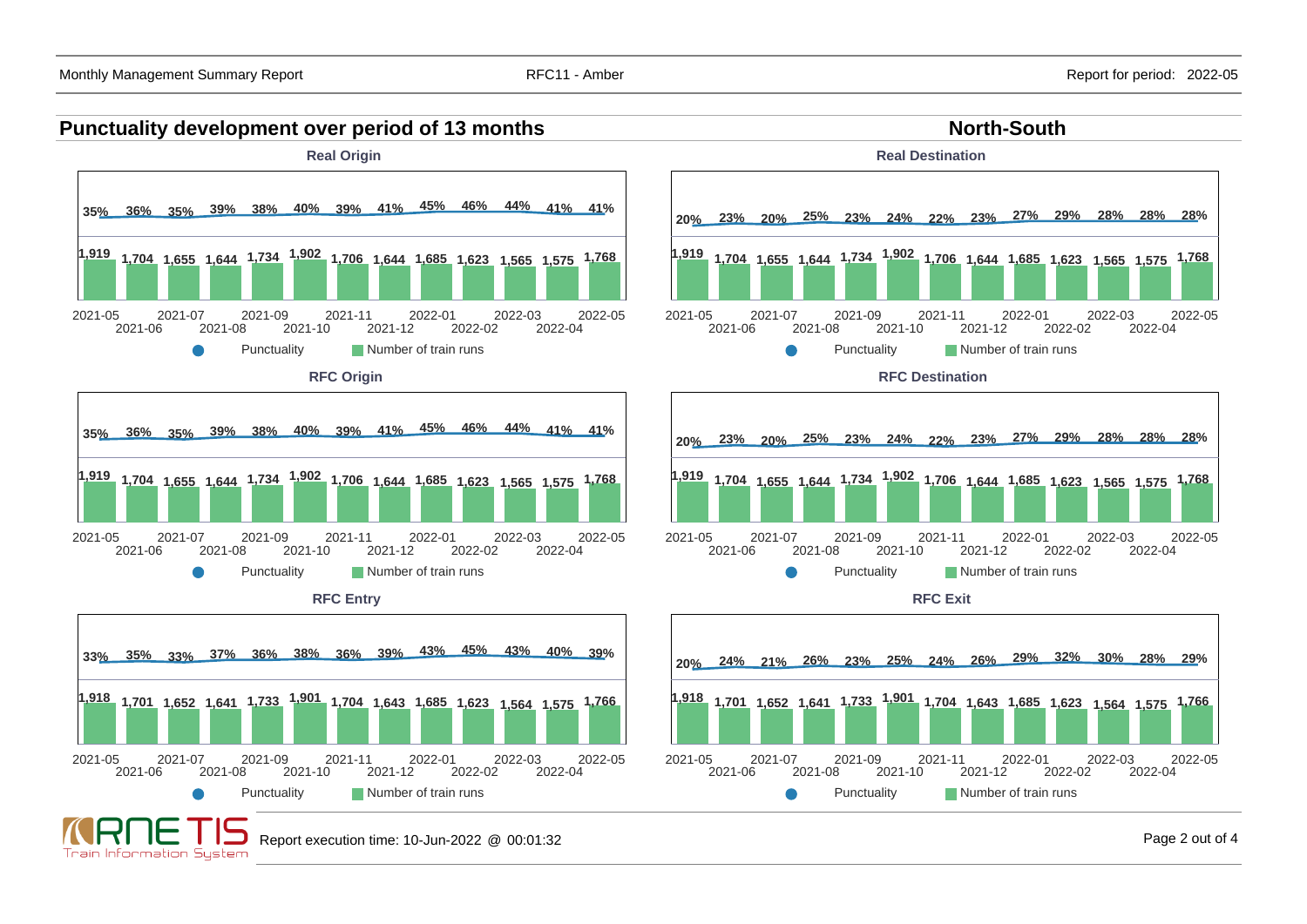### **Punctuality development over period of 13 months North-South North-South**



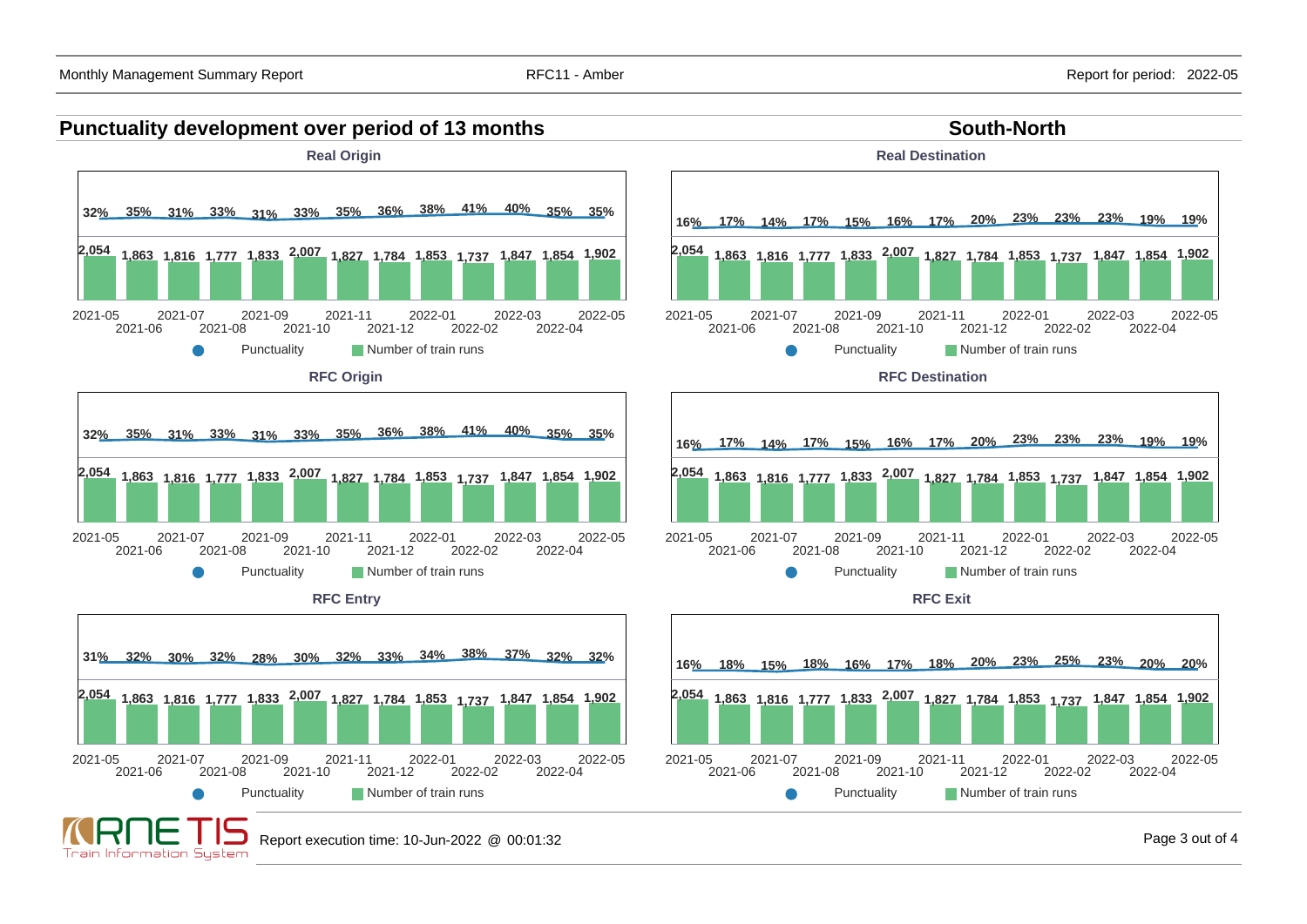### **Punctuality development over period of 13 months South-North South-North**